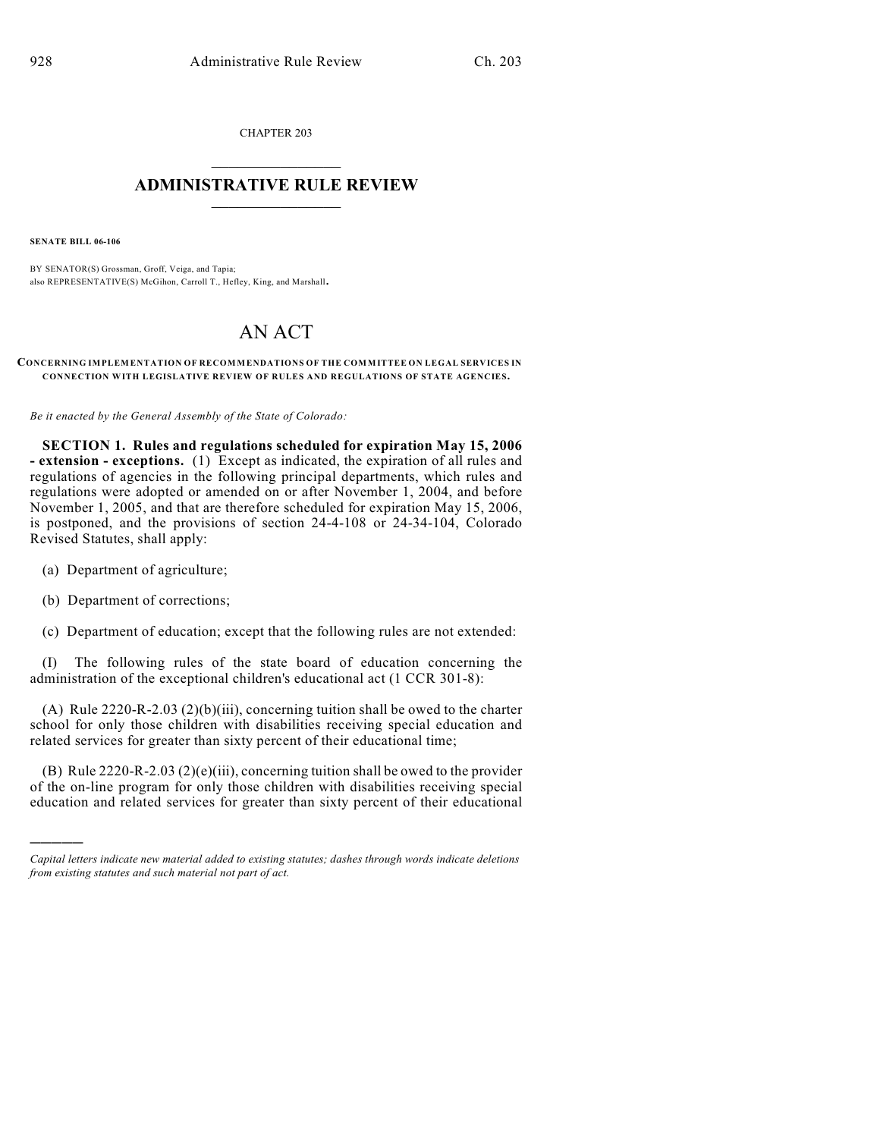CHAPTER 203  $\overline{\phantom{a}}$  . The set of the set of the set of the set of the set of the set of the set of the set of the set of the set of the set of the set of the set of the set of the set of the set of the set of the set of the set o

## **ADMINISTRATIVE RULE REVIEW**  $\_$

**SENATE BILL 06-106**

BY SENATOR(S) Grossman, Groff, Veiga, and Tapia; also REPRESENTATIVE(S) McGihon, Carroll T., Hefley, King, and Marshall.

## AN ACT

**CONCERNING IMPLEMENTATION OF RECOMMENDATIONS OF THE COMMITTEE ON LEGAL SERVICES IN CONNECTION WITH LEGISLATIVE REVIEW OF RULES AND REGULATIONS OF STATE AGENCIES.**

*Be it enacted by the General Assembly of the State of Colorado:*

**SECTION 1. Rules and regulations scheduled for expiration May 15, 2006 - extension - exceptions.** (1) Except as indicated, the expiration of all rules and regulations of agencies in the following principal departments, which rules and regulations were adopted or amended on or after November 1, 2004, and before November 1, 2005, and that are therefore scheduled for expiration May 15, 2006, is postponed, and the provisions of section 24-4-108 or 24-34-104, Colorado Revised Statutes, shall apply:

- (a) Department of agriculture;
- (b) Department of corrections;

)))))

(c) Department of education; except that the following rules are not extended:

(I) The following rules of the state board of education concerning the administration of the exceptional children's educational act (1 CCR 301-8):

(A) Rule 2220-R-2.03 (2)(b)(iii), concerning tuition shall be owed to the charter school for only those children with disabilities receiving special education and related services for greater than sixty percent of their educational time;

(B) Rule 2220-R-2.03 (2)(e)(iii), concerning tuition shall be owed to the provider of the on-line program for only those children with disabilities receiving special education and related services for greater than sixty percent of their educational

*Capital letters indicate new material added to existing statutes; dashes through words indicate deletions from existing statutes and such material not part of act.*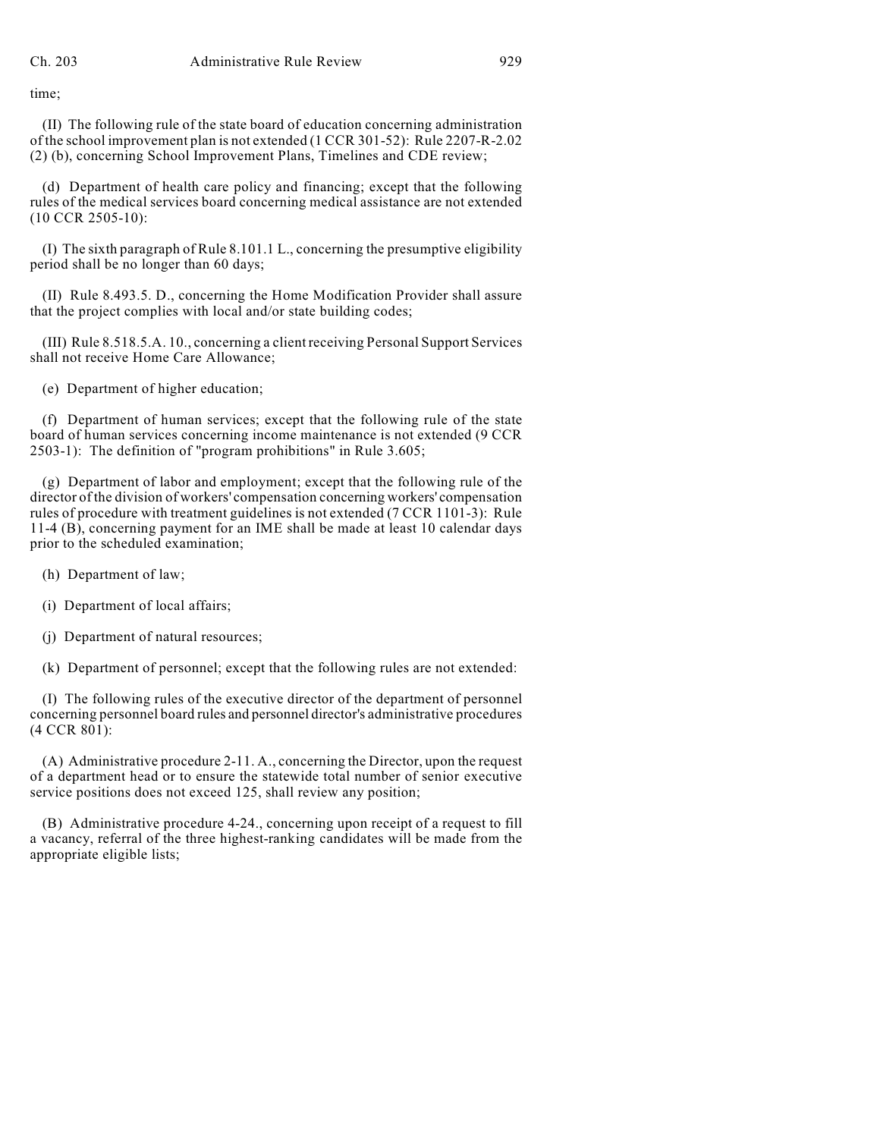time;

(II) The following rule of the state board of education concerning administration of the school improvement plan is not extended (1 CCR 301-52): Rule 2207-R-2.02 (2) (b), concerning School Improvement Plans, Timelines and CDE review;

(d) Department of health care policy and financing; except that the following rules of the medical services board concerning medical assistance are not extended (10 CCR 2505-10):

(I) The sixth paragraph of Rule 8.101.1 L., concerning the presumptive eligibility period shall be no longer than 60 days;

(II) Rule 8.493.5. D., concerning the Home Modification Provider shall assure that the project complies with local and/or state building codes;

(III) Rule 8.518.5.A. 10., concerning a client receiving Personal Support Services shall not receive Home Care Allowance;

(e) Department of higher education;

(f) Department of human services; except that the following rule of the state board of human services concerning income maintenance is not extended (9 CCR 2503-1): The definition of "program prohibitions" in Rule 3.605;

(g) Department of labor and employment; except that the following rule of the director of the division of workers' compensation concerning workers' compensation rules of procedure with treatment guidelines is not extended (7 CCR 1101-3): Rule 11-4 (B), concerning payment for an IME shall be made at least 10 calendar days prior to the scheduled examination;

- (h) Department of law;
- (i) Department of local affairs;
- (j) Department of natural resources;
- (k) Department of personnel; except that the following rules are not extended:

(I) The following rules of the executive director of the department of personnel concerning personnel board rules and personnel director's administrative procedures (4 CCR 801):

(A) Administrative procedure 2-11. A., concerning the Director, upon the request of a department head or to ensure the statewide total number of senior executive service positions does not exceed 125, shall review any position;

(B) Administrative procedure 4-24., concerning upon receipt of a request to fill a vacancy, referral of the three highest-ranking candidates will be made from the appropriate eligible lists;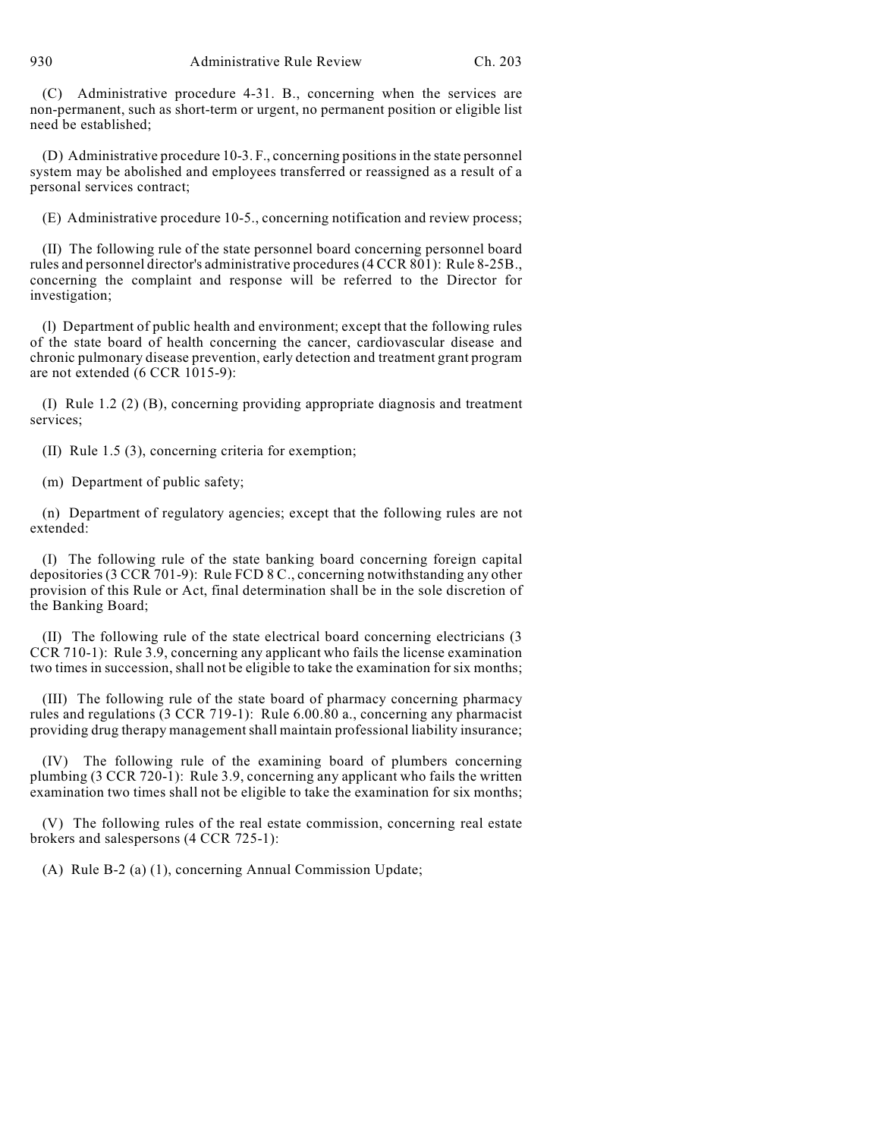(C) Administrative procedure 4-31. B., concerning when the services are non-permanent, such as short-term or urgent, no permanent position or eligible list need be established;

(D) Administrative procedure 10-3. F., concerning positions in the state personnel system may be abolished and employees transferred or reassigned as a result of a personal services contract;

(E) Administrative procedure 10-5., concerning notification and review process;

(II) The following rule of the state personnel board concerning personnel board rules and personnel director's administrative procedures (4 CCR 801): Rule 8-25B., concerning the complaint and response will be referred to the Director for investigation;

(l) Department of public health and environment; except that the following rules of the state board of health concerning the cancer, cardiovascular disease and chronic pulmonary disease prevention, early detection and treatment grant program are not extended (6 CCR 1015-9):

(I) Rule 1.2 (2) (B), concerning providing appropriate diagnosis and treatment services;

(II) Rule 1.5 (3), concerning criteria for exemption;

(m) Department of public safety;

(n) Department of regulatory agencies; except that the following rules are not extended:

(I) The following rule of the state banking board concerning foreign capital depositories (3 CCR 701-9): Rule FCD 8 C., concerning notwithstanding any other provision of this Rule or Act, final determination shall be in the sole discretion of the Banking Board;

(II) The following rule of the state electrical board concerning electricians (3 CCR 710-1): Rule 3.9, concerning any applicant who fails the license examination two times in succession, shall not be eligible to take the examination for six months;

(III) The following rule of the state board of pharmacy concerning pharmacy rules and regulations (3 CCR 719-1): Rule 6.00.80 a., concerning any pharmacist providing drug therapy management shall maintain professional liability insurance;

(IV) The following rule of the examining board of plumbers concerning plumbing (3 CCR 720-1): Rule 3.9, concerning any applicant who fails the written examination two times shall not be eligible to take the examination for six months;

(V) The following rules of the real estate commission, concerning real estate brokers and salespersons (4 CCR 725-1):

(A) Rule B-2 (a) (1), concerning Annual Commission Update;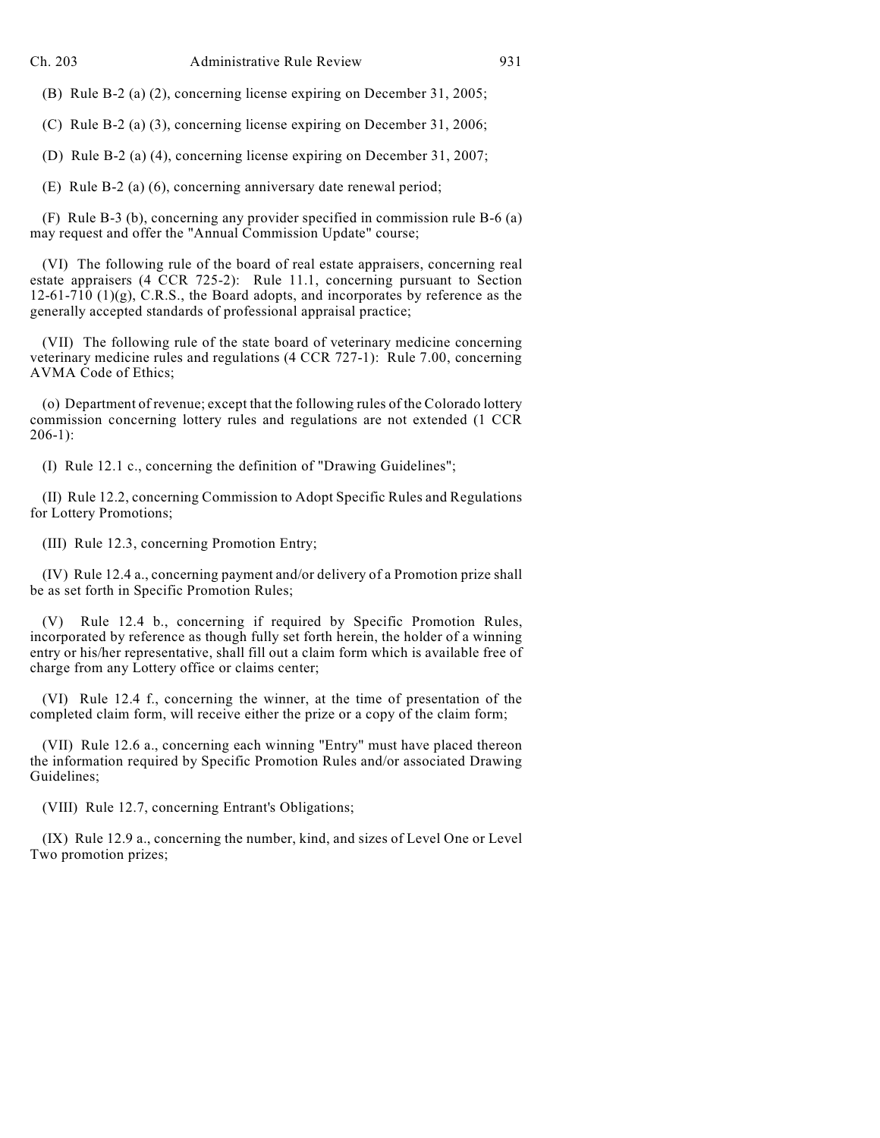(B) Rule B-2 (a) (2), concerning license expiring on December 31, 2005;

(C) Rule B-2 (a) (3), concerning license expiring on December 31, 2006;

(D) Rule B-2 (a) (4), concerning license expiring on December 31, 2007;

(E) Rule B-2 (a) (6), concerning anniversary date renewal period;

(F) Rule B-3 (b), concerning any provider specified in commission rule B-6 (a) may request and offer the "Annual Commission Update" course;

(VI) The following rule of the board of real estate appraisers, concerning real estate appraisers (4 CCR 725-2): Rule 11.1, concerning pursuant to Section  $12-61-710$  (1)(g), C.R.S., the Board adopts, and incorporates by reference as the generally accepted standards of professional appraisal practice;

(VII) The following rule of the state board of veterinary medicine concerning veterinary medicine rules and regulations (4 CCR 727-1): Rule 7.00, concerning AVMA Code of Ethics;

(o) Department of revenue; except that the following rules of the Colorado lottery commission concerning lottery rules and regulations are not extended (1 CCR 206-1):

(I) Rule 12.1 c., concerning the definition of "Drawing Guidelines";

(II) Rule 12.2, concerning Commission to Adopt Specific Rules and Regulations for Lottery Promotions;

(III) Rule 12.3, concerning Promotion Entry;

(IV) Rule 12.4 a., concerning payment and/or delivery of a Promotion prize shall be as set forth in Specific Promotion Rules;

(V) Rule 12.4 b., concerning if required by Specific Promotion Rules, incorporated by reference as though fully set forth herein, the holder of a winning entry or his/her representative, shall fill out a claim form which is available free of charge from any Lottery office or claims center;

(VI) Rule 12.4 f., concerning the winner, at the time of presentation of the completed claim form, will receive either the prize or a copy of the claim form;

(VII) Rule 12.6 a., concerning each winning "Entry" must have placed thereon the information required by Specific Promotion Rules and/or associated Drawing Guidelines;

(VIII) Rule 12.7, concerning Entrant's Obligations;

(IX) Rule 12.9 a., concerning the number, kind, and sizes of Level One or Level Two promotion prizes;